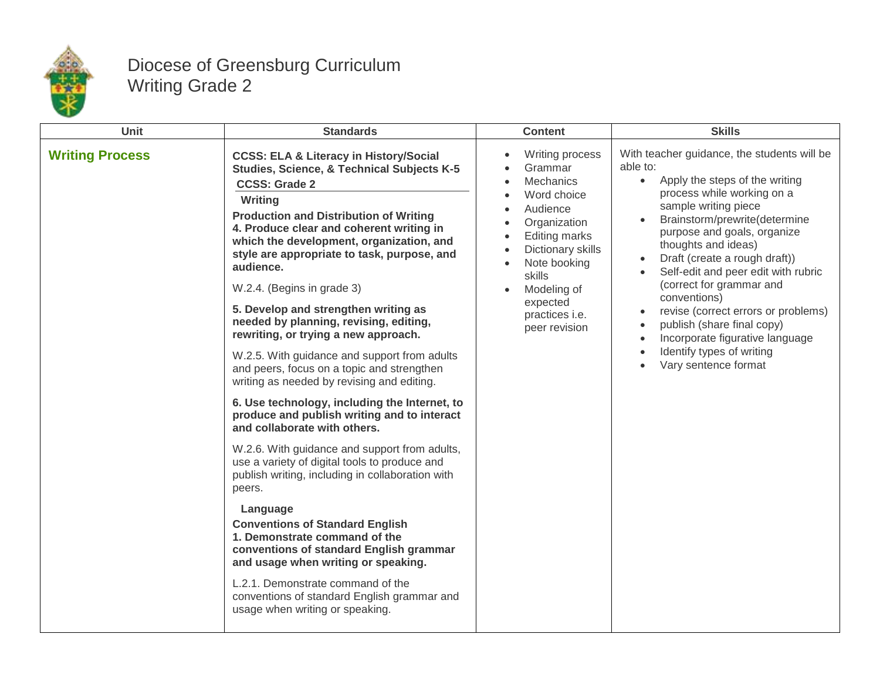

## Diocese of Greensburg Curriculum Writing Grade 2

| Unit                   | <b>Standards</b>                                                                                                                                                                                                                                                                                                                                                                                                                                                                                                                                                                                                                                                                                                                                                                                                                                                                                                                                                                                                                                                                                                                                                                                                                                       | <b>Content</b>                                                                                                                                                                                                                 | <b>Skills</b>                                                                                                                                                                                                                                                                                                                                                                                                                                                                                                                                                                                                                                |
|------------------------|--------------------------------------------------------------------------------------------------------------------------------------------------------------------------------------------------------------------------------------------------------------------------------------------------------------------------------------------------------------------------------------------------------------------------------------------------------------------------------------------------------------------------------------------------------------------------------------------------------------------------------------------------------------------------------------------------------------------------------------------------------------------------------------------------------------------------------------------------------------------------------------------------------------------------------------------------------------------------------------------------------------------------------------------------------------------------------------------------------------------------------------------------------------------------------------------------------------------------------------------------------|--------------------------------------------------------------------------------------------------------------------------------------------------------------------------------------------------------------------------------|----------------------------------------------------------------------------------------------------------------------------------------------------------------------------------------------------------------------------------------------------------------------------------------------------------------------------------------------------------------------------------------------------------------------------------------------------------------------------------------------------------------------------------------------------------------------------------------------------------------------------------------------|
| <b>Writing Process</b> | <b>CCSS: ELA &amp; Literacy in History/Social</b><br><b>Studies, Science, &amp; Technical Subjects K-5</b><br><b>CCSS: Grade 2</b><br>Writing<br><b>Production and Distribution of Writing</b><br>4. Produce clear and coherent writing in<br>which the development, organization, and<br>style are appropriate to task, purpose, and<br>audience.<br>W.2.4. (Begins in grade 3)<br>5. Develop and strengthen writing as<br>needed by planning, revising, editing,<br>rewriting, or trying a new approach.<br>W.2.5. With guidance and support from adults<br>and peers, focus on a topic and strengthen<br>writing as needed by revising and editing.<br>6. Use technology, including the Internet, to<br>produce and publish writing and to interact<br>and collaborate with others.<br>W.2.6. With guidance and support from adults,<br>use a variety of digital tools to produce and<br>publish writing, including in collaboration with<br>peers.<br>Language<br><b>Conventions of Standard English</b><br>1. Demonstrate command of the<br>conventions of standard English grammar<br>and usage when writing or speaking.<br>L.2.1. Demonstrate command of the<br>conventions of standard English grammar and<br>usage when writing or speaking. | <b>Writing process</b><br>Grammar<br>Mechanics<br>Word choice<br>Audience<br>Organization<br><b>Editing marks</b><br>Dictionary skills<br>Note booking<br>skills<br>Modeling of<br>expected<br>practices i.e.<br>peer revision | With teacher guidance, the students will be<br>able to:<br>Apply the steps of the writing<br>$\bullet$<br>process while working on a<br>sample writing piece<br>Brainstorm/prewrite(determine<br>$\bullet$<br>purpose and goals, organize<br>thoughts and ideas)<br>Draft (create a rough draft))<br>$\bullet$<br>Self-edit and peer edit with rubric<br>$\bullet$<br>(correct for grammar and<br>conventions)<br>revise (correct errors or problems)<br>$\bullet$<br>publish (share final copy)<br>$\bullet$<br>Incorporate figurative language<br>$\bullet$<br>Identify types of writing<br>$\bullet$<br>Vary sentence format<br>$\bullet$ |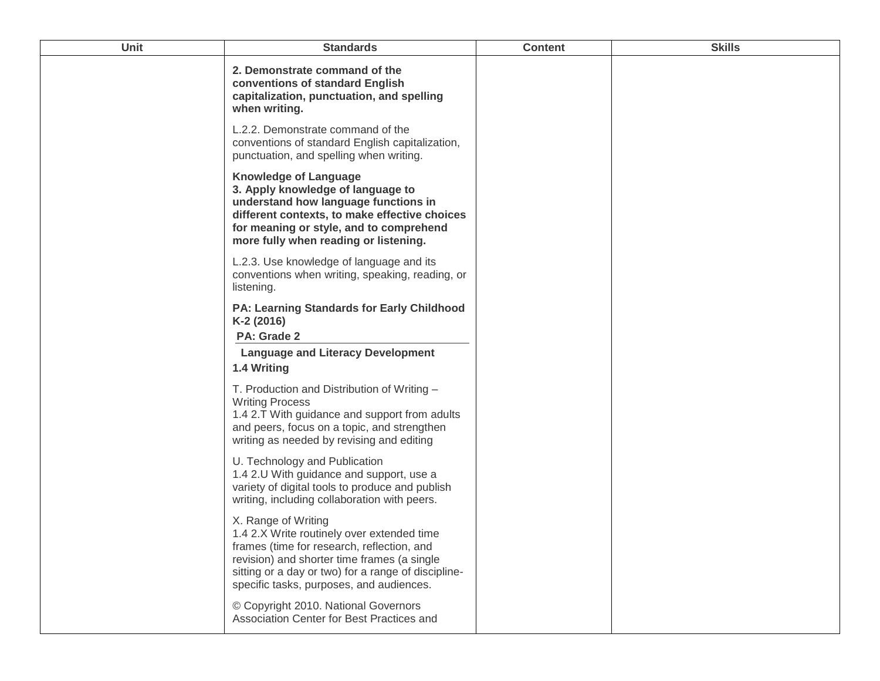| Unit | <b>Standards</b>                                                                                                                                                                                                                                                  | <b>Content</b> | <b>Skills</b> |
|------|-------------------------------------------------------------------------------------------------------------------------------------------------------------------------------------------------------------------------------------------------------------------|----------------|---------------|
|      | 2. Demonstrate command of the<br>conventions of standard English<br>capitalization, punctuation, and spelling<br>when writing.                                                                                                                                    |                |               |
|      | L.2.2. Demonstrate command of the<br>conventions of standard English capitalization,<br>punctuation, and spelling when writing.                                                                                                                                   |                |               |
|      | <b>Knowledge of Language</b><br>3. Apply knowledge of language to<br>understand how language functions in<br>different contexts, to make effective choices<br>for meaning or style, and to comprehend<br>more fully when reading or listening.                    |                |               |
|      | L.2.3. Use knowledge of language and its<br>conventions when writing, speaking, reading, or<br>listening.                                                                                                                                                         |                |               |
|      | PA: Learning Standards for Early Childhood<br>K-2 (2016)<br>PA: Grade 2                                                                                                                                                                                           |                |               |
|      | <b>Language and Literacy Development</b>                                                                                                                                                                                                                          |                |               |
|      | 1.4 Writing                                                                                                                                                                                                                                                       |                |               |
|      | T. Production and Distribution of Writing -<br><b>Writing Process</b><br>1.4 2.T With guidance and support from adults<br>and peers, focus on a topic, and strengthen<br>writing as needed by revising and editing                                                |                |               |
|      | U. Technology and Publication<br>1.4 2.U With guidance and support, use a<br>variety of digital tools to produce and publish<br>writing, including collaboration with peers.                                                                                      |                |               |
|      | X. Range of Writing<br>1.4 2.X Write routinely over extended time<br>frames (time for research, reflection, and<br>revision) and shorter time frames (a single<br>sitting or a day or two) for a range of discipline-<br>specific tasks, purposes, and audiences. |                |               |
|      | © Copyright 2010. National Governors<br>Association Center for Best Practices and                                                                                                                                                                                 |                |               |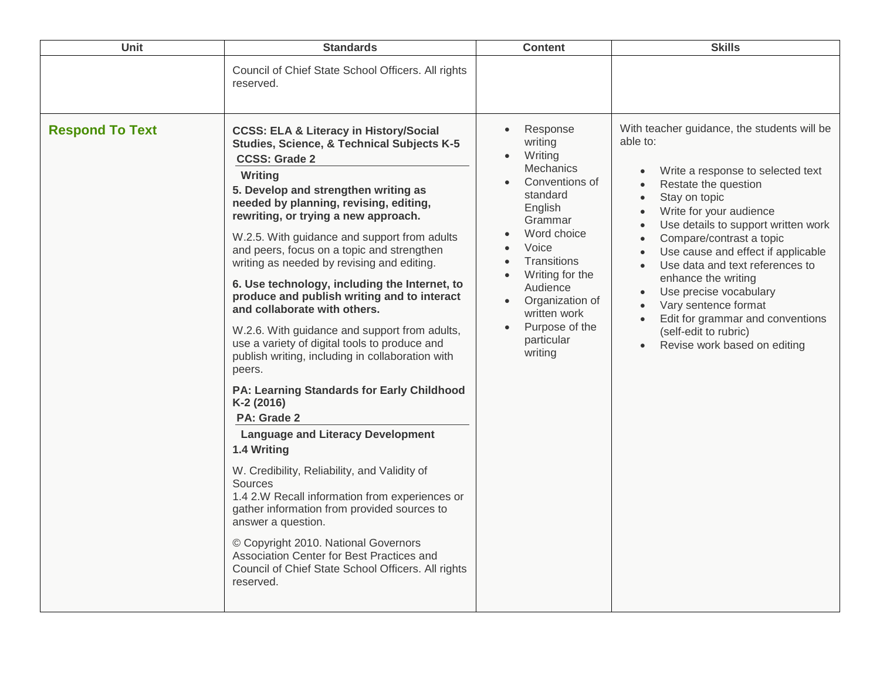| Unit                   | <b>Standards</b>                                                                                                                                                                                                                                                                                                                                                                                                                                                                                                                                                                                                                                                                                                                                                                                                                                                                                                                                                                                                                                                                                                                                                                                | <b>Content</b>                                                                                                                                                                                                                                             | <b>Skills</b>                                                                                                                                                                                                                                                                                                                                                                                                                                                                                                                                                                                                        |
|------------------------|-------------------------------------------------------------------------------------------------------------------------------------------------------------------------------------------------------------------------------------------------------------------------------------------------------------------------------------------------------------------------------------------------------------------------------------------------------------------------------------------------------------------------------------------------------------------------------------------------------------------------------------------------------------------------------------------------------------------------------------------------------------------------------------------------------------------------------------------------------------------------------------------------------------------------------------------------------------------------------------------------------------------------------------------------------------------------------------------------------------------------------------------------------------------------------------------------|------------------------------------------------------------------------------------------------------------------------------------------------------------------------------------------------------------------------------------------------------------|----------------------------------------------------------------------------------------------------------------------------------------------------------------------------------------------------------------------------------------------------------------------------------------------------------------------------------------------------------------------------------------------------------------------------------------------------------------------------------------------------------------------------------------------------------------------------------------------------------------------|
|                        | Council of Chief State School Officers. All rights<br>reserved.                                                                                                                                                                                                                                                                                                                                                                                                                                                                                                                                                                                                                                                                                                                                                                                                                                                                                                                                                                                                                                                                                                                                 |                                                                                                                                                                                                                                                            |                                                                                                                                                                                                                                                                                                                                                                                                                                                                                                                                                                                                                      |
| <b>Respond To Text</b> | <b>CCSS: ELA &amp; Literacy in History/Social</b><br>Studies, Science, & Technical Subjects K-5<br><b>CCSS: Grade 2</b><br>Writing<br>5. Develop and strengthen writing as<br>needed by planning, revising, editing,<br>rewriting, or trying a new approach.<br>W.2.5. With guidance and support from adults<br>and peers, focus on a topic and strengthen<br>writing as needed by revising and editing.<br>6. Use technology, including the Internet, to<br>produce and publish writing and to interact<br>and collaborate with others.<br>W.2.6. With guidance and support from adults,<br>use a variety of digital tools to produce and<br>publish writing, including in collaboration with<br>peers.<br><b>PA: Learning Standards for Early Childhood</b><br>K-2 (2016)<br>PA: Grade 2<br><b>Language and Literacy Development</b><br>1.4 Writing<br>W. Credibility, Reliability, and Validity of<br>Sources<br>1.4 2.W Recall information from experiences or<br>gather information from provided sources to<br>answer a question.<br>© Copyright 2010. National Governors<br>Association Center for Best Practices and<br>Council of Chief State School Officers. All rights<br>reserved. | Response<br>writing<br>Writing<br>Mechanics<br>Conventions of<br>standard<br>English<br>Grammar<br>Word choice<br>Voice<br><b>Transitions</b><br>Writing for the<br>Audience<br>Organization of<br>written work<br>Purpose of the<br>particular<br>writing | With teacher guidance, the students will be<br>able to:<br>Write a response to selected text<br>$\bullet$<br>Restate the question<br>$\bullet$<br>Stay on topic<br>$\bullet$<br>Write for your audience<br>$\bullet$<br>Use details to support written work<br>$\bullet$<br>Compare/contrast a topic<br>$\bullet$<br>Use cause and effect if applicable<br>$\bullet$<br>Use data and text references to<br>$\bullet$<br>enhance the writing<br>Use precise vocabulary<br>$\bullet$<br>Vary sentence format<br>Edit for grammar and conventions<br>(self-edit to rubric)<br>Revise work based on editing<br>$\bullet$ |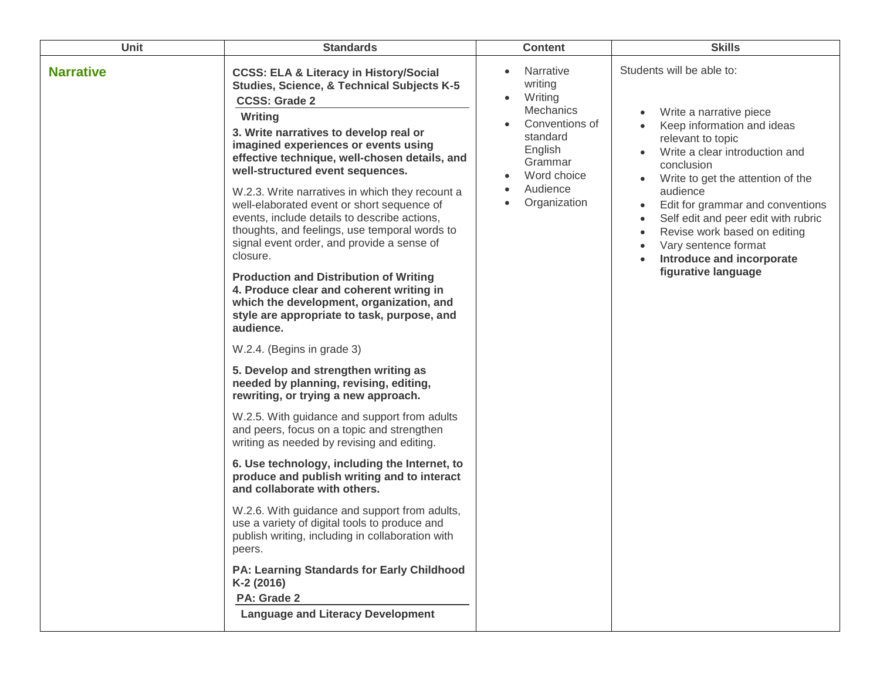| <b>Unit</b>      | <b>Standards</b>                                                                                                                                                                                                                                                                                                                                                                                                                                                                                                                                                                                                                                                                                                                                                                                                                                                                                                                                                                                                                                                                                                                                                                                                                                                                                                                                                                                                                                                                                                        | <b>Content</b>                                                                                                                                     | <b>Skills</b>                                                                                                                                                                                                                                                                                                                                                                                                                                                                              |
|------------------|-------------------------------------------------------------------------------------------------------------------------------------------------------------------------------------------------------------------------------------------------------------------------------------------------------------------------------------------------------------------------------------------------------------------------------------------------------------------------------------------------------------------------------------------------------------------------------------------------------------------------------------------------------------------------------------------------------------------------------------------------------------------------------------------------------------------------------------------------------------------------------------------------------------------------------------------------------------------------------------------------------------------------------------------------------------------------------------------------------------------------------------------------------------------------------------------------------------------------------------------------------------------------------------------------------------------------------------------------------------------------------------------------------------------------------------------------------------------------------------------------------------------------|----------------------------------------------------------------------------------------------------------------------------------------------------|--------------------------------------------------------------------------------------------------------------------------------------------------------------------------------------------------------------------------------------------------------------------------------------------------------------------------------------------------------------------------------------------------------------------------------------------------------------------------------------------|
| <b>Narrative</b> | <b>CCSS: ELA &amp; Literacy in History/Social</b><br><b>Studies, Science, &amp; Technical Subjects K-5</b><br><b>CCSS: Grade 2</b><br><b>Writing</b><br>3. Write narratives to develop real or<br>imagined experiences or events using<br>effective technique, well-chosen details, and<br>well-structured event sequences.<br>W.2.3. Write narratives in which they recount a<br>well-elaborated event or short sequence of<br>events, include details to describe actions,<br>thoughts, and feelings, use temporal words to<br>signal event order, and provide a sense of<br>closure.<br><b>Production and Distribution of Writing</b><br>4. Produce clear and coherent writing in<br>which the development, organization, and<br>style are appropriate to task, purpose, and<br>audience.<br>W.2.4. (Begins in grade 3)<br>5. Develop and strengthen writing as<br>needed by planning, revising, editing,<br>rewriting, or trying a new approach.<br>W.2.5. With guidance and support from adults<br>and peers, focus on a topic and strengthen<br>writing as needed by revising and editing.<br>6. Use technology, including the Internet, to<br>produce and publish writing and to interact<br>and collaborate with others.<br>W.2.6. With guidance and support from adults,<br>use a variety of digital tools to produce and<br>publish writing, including in collaboration with<br>peers.<br>PA: Learning Standards for Early Childhood<br>K-2 (2016)<br>PA: Grade 2<br><b>Language and Literacy Development</b> | <b>Narrative</b><br>writing<br>Writing<br>Mechanics<br>Conventions of<br>standard<br>English<br>Grammar<br>Word choice<br>Audience<br>Organization | Students will be able to:<br>Write a narrative piece<br>Keep information and ideas<br>relevant to topic<br>Write a clear introduction and<br>$\bullet$<br>conclusion<br>Write to get the attention of the<br>$\bullet$<br>audience<br>Edit for grammar and conventions<br>$\bullet$<br>Self edit and peer edit with rubric<br>$\bullet$<br>Revise work based on editing<br>$\bullet$<br>Vary sentence format<br>$\bullet$<br>Introduce and incorporate<br>$\bullet$<br>figurative language |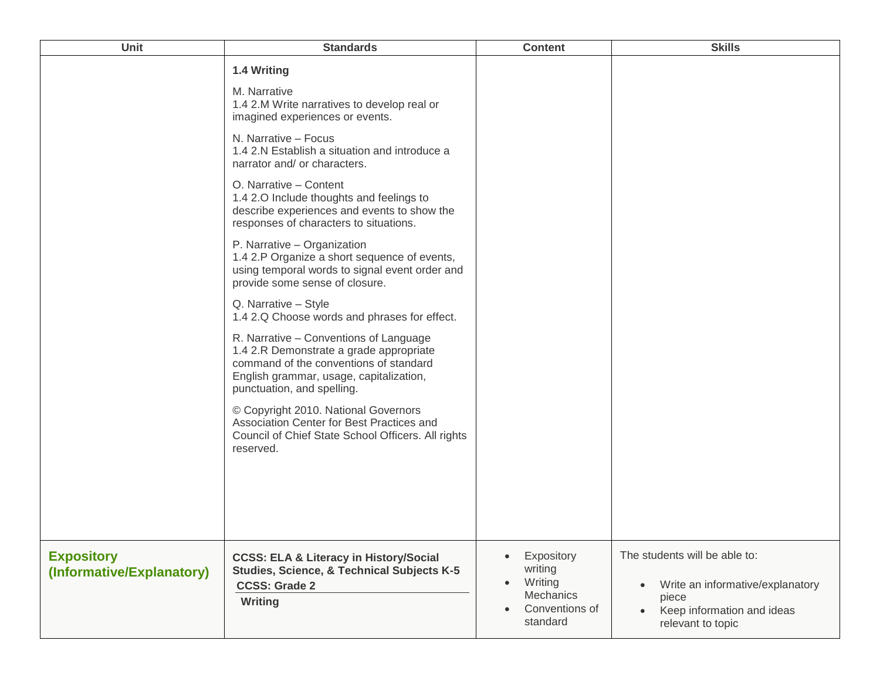| Unit                                           | <b>Standards</b>                                                                                                                                                                                     | <b>Content</b>                                                                           | <b>Skills</b>                                                                                                                              |
|------------------------------------------------|------------------------------------------------------------------------------------------------------------------------------------------------------------------------------------------------------|------------------------------------------------------------------------------------------|--------------------------------------------------------------------------------------------------------------------------------------------|
|                                                | 1.4 Writing<br>M. Narrative<br>1.4 2.M Write narratives to develop real or                                                                                                                           |                                                                                          |                                                                                                                                            |
|                                                | imagined experiences or events.<br>N. Narrative - Focus<br>1.4 2.N Establish a situation and introduce a<br>narrator and/ or characters.                                                             |                                                                                          |                                                                                                                                            |
|                                                | O. Narrative - Content<br>1.4 2.0 Include thoughts and feelings to<br>describe experiences and events to show the<br>responses of characters to situations.                                          |                                                                                          |                                                                                                                                            |
|                                                | P. Narrative - Organization<br>1.4 2.P Organize a short sequence of events,<br>using temporal words to signal event order and<br>provide some sense of closure.                                      |                                                                                          |                                                                                                                                            |
|                                                | Q. Narrative - Style<br>1.4 2.Q Choose words and phrases for effect.                                                                                                                                 |                                                                                          |                                                                                                                                            |
|                                                | R. Narrative - Conventions of Language<br>1.4 2.R Demonstrate a grade appropriate<br>command of the conventions of standard<br>English grammar, usage, capitalization,<br>punctuation, and spelling. |                                                                                          |                                                                                                                                            |
|                                                | © Copyright 2010. National Governors<br>Association Center for Best Practices and<br>Council of Chief State School Officers. All rights<br>reserved.                                                 |                                                                                          |                                                                                                                                            |
|                                                |                                                                                                                                                                                                      |                                                                                          |                                                                                                                                            |
| <b>Expository</b><br>(Informative/Explanatory) | <b>CCSS: ELA &amp; Literacy in History/Social</b><br>Studies, Science, & Technical Subjects K-5<br><b>CCSS: Grade 2</b><br>Writing                                                                   | Expository<br>writing<br>Writing<br>$\bullet$<br>Mechanics<br>Conventions of<br>standard | The students will be able to:<br>Write an informative/explanatory<br>$\bullet$<br>piece<br>Keep information and ideas<br>relevant to topic |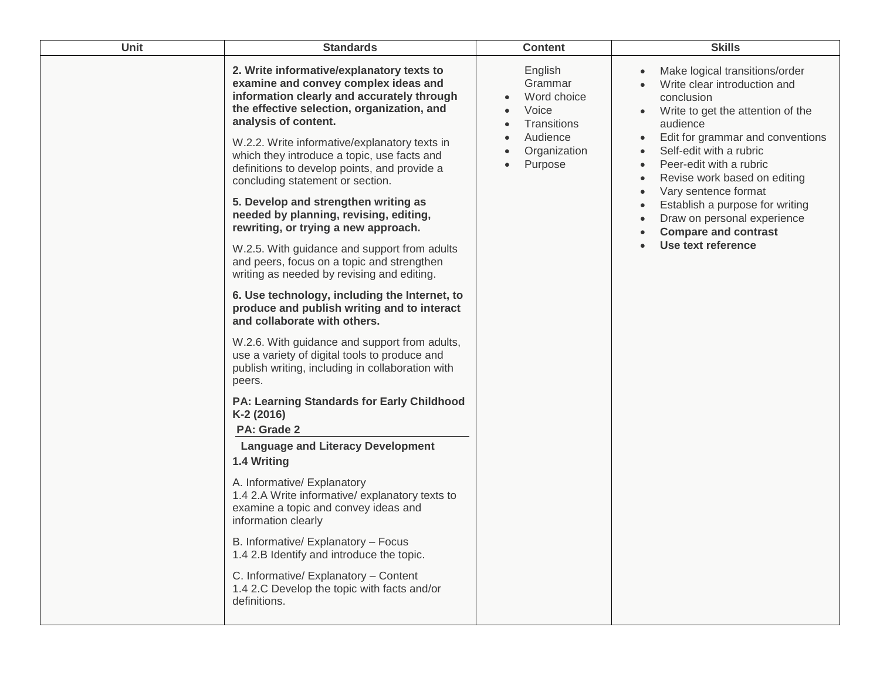| Unit | <b>Standards</b>                                                                                                                                                                                                                                                                                                                                                                                                                                                                                                                                                                                                                                                                                                                                                                                                                                                                                                                                                                                                                                                                                                                                                                                                                                                                                                                                                                                                                                          | <b>Content</b>                                                                                   | <b>Skills</b>                                                                                                                                                                                                                                                                                                                                                                                                       |
|------|-----------------------------------------------------------------------------------------------------------------------------------------------------------------------------------------------------------------------------------------------------------------------------------------------------------------------------------------------------------------------------------------------------------------------------------------------------------------------------------------------------------------------------------------------------------------------------------------------------------------------------------------------------------------------------------------------------------------------------------------------------------------------------------------------------------------------------------------------------------------------------------------------------------------------------------------------------------------------------------------------------------------------------------------------------------------------------------------------------------------------------------------------------------------------------------------------------------------------------------------------------------------------------------------------------------------------------------------------------------------------------------------------------------------------------------------------------------|--------------------------------------------------------------------------------------------------|---------------------------------------------------------------------------------------------------------------------------------------------------------------------------------------------------------------------------------------------------------------------------------------------------------------------------------------------------------------------------------------------------------------------|
|      | 2. Write informative/explanatory texts to<br>examine and convey complex ideas and<br>information clearly and accurately through<br>the effective selection, organization, and<br>analysis of content.<br>W.2.2. Write informative/explanatory texts in<br>which they introduce a topic, use facts and<br>definitions to develop points, and provide a<br>concluding statement or section.<br>5. Develop and strengthen writing as<br>needed by planning, revising, editing,<br>rewriting, or trying a new approach.<br>W.2.5. With guidance and support from adults<br>and peers, focus on a topic and strengthen<br>writing as needed by revising and editing.<br>6. Use technology, including the Internet, to<br>produce and publish writing and to interact<br>and collaborate with others.<br>W.2.6. With guidance and support from adults,<br>use a variety of digital tools to produce and<br>publish writing, including in collaboration with<br>peers.<br><b>PA: Learning Standards for Early Childhood</b><br>K-2 (2016)<br>PA: Grade 2<br><b>Language and Literacy Development</b><br>1.4 Writing<br>A. Informative/ Explanatory<br>1.4 2.A Write informative/ explanatory texts to<br>examine a topic and convey ideas and<br>information clearly<br>B. Informative/ Explanatory - Focus<br>1.4 2.B Identify and introduce the topic.<br>C. Informative/ Explanatory - Content<br>1.4 2.C Develop the topic with facts and/or<br>definitions. | English<br>Grammar<br>Word choice<br>Voice<br>Transitions<br>Audience<br>Organization<br>Purpose | Make logical transitions/order<br>Write clear introduction and<br>conclusion<br>Write to get the attention of the<br>audience<br>Edit for grammar and conventions<br>$\bullet$<br>Self-edit with a rubric<br>Peer-edit with a rubric<br>Revise work based on editing<br>Vary sentence format<br>Establish a purpose for writing<br>Draw on personal experience<br><b>Compare and contrast</b><br>Use text reference |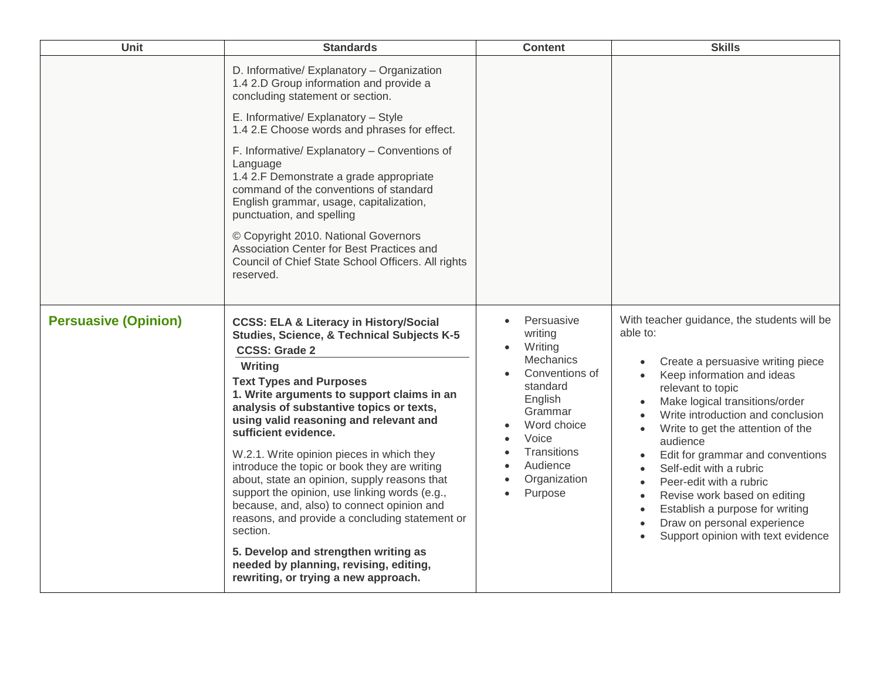| Unit                        | <b>Standards</b>                                                                                                                                                                                                                                                                                                                                                                                                                                                                                                                                                                                                                                                                                                                                                                | <b>Content</b>                                                                                                                                                                  | <b>Skills</b>                                                                                                                                                                                                                                                                                                                                                                                                                                                                                                                                                              |
|-----------------------------|---------------------------------------------------------------------------------------------------------------------------------------------------------------------------------------------------------------------------------------------------------------------------------------------------------------------------------------------------------------------------------------------------------------------------------------------------------------------------------------------------------------------------------------------------------------------------------------------------------------------------------------------------------------------------------------------------------------------------------------------------------------------------------|---------------------------------------------------------------------------------------------------------------------------------------------------------------------------------|----------------------------------------------------------------------------------------------------------------------------------------------------------------------------------------------------------------------------------------------------------------------------------------------------------------------------------------------------------------------------------------------------------------------------------------------------------------------------------------------------------------------------------------------------------------------------|
|                             | D. Informative/ Explanatory - Organization<br>1.4 2.D Group information and provide a<br>concluding statement or section.                                                                                                                                                                                                                                                                                                                                                                                                                                                                                                                                                                                                                                                       |                                                                                                                                                                                 |                                                                                                                                                                                                                                                                                                                                                                                                                                                                                                                                                                            |
|                             | E. Informative/ Explanatory - Style<br>1.4 2.E Choose words and phrases for effect.                                                                                                                                                                                                                                                                                                                                                                                                                                                                                                                                                                                                                                                                                             |                                                                                                                                                                                 |                                                                                                                                                                                                                                                                                                                                                                                                                                                                                                                                                                            |
|                             | F. Informative/ Explanatory - Conventions of<br>Language<br>1.4 2.F Demonstrate a grade appropriate<br>command of the conventions of standard<br>English grammar, usage, capitalization,<br>punctuation, and spelling                                                                                                                                                                                                                                                                                                                                                                                                                                                                                                                                                           |                                                                                                                                                                                 |                                                                                                                                                                                                                                                                                                                                                                                                                                                                                                                                                                            |
|                             | © Copyright 2010. National Governors<br>Association Center for Best Practices and<br>Council of Chief State School Officers. All rights<br>reserved.                                                                                                                                                                                                                                                                                                                                                                                                                                                                                                                                                                                                                            |                                                                                                                                                                                 |                                                                                                                                                                                                                                                                                                                                                                                                                                                                                                                                                                            |
| <b>Persuasive (Opinion)</b> | <b>CCSS: ELA &amp; Literacy in History/Social</b><br><b>Studies, Science, &amp; Technical Subjects K-5</b><br><b>CCSS: Grade 2</b><br>Writing<br><b>Text Types and Purposes</b><br>1. Write arguments to support claims in an<br>analysis of substantive topics or texts,<br>using valid reasoning and relevant and<br>sufficient evidence.<br>W.2.1. Write opinion pieces in which they<br>introduce the topic or book they are writing<br>about, state an opinion, supply reasons that<br>support the opinion, use linking words (e.g.,<br>because, and, also) to connect opinion and<br>reasons, and provide a concluding statement or<br>section.<br>5. Develop and strengthen writing as<br>needed by planning, revising, editing,<br>rewriting, or trying a new approach. | Persuasive<br>writing<br>Writing<br>Mechanics<br>Conventions of<br>standard<br>English<br>Grammar<br>Word choice<br>Voice<br>Transitions<br>Audience<br>Organization<br>Purpose | With teacher guidance, the students will be<br>able to:<br>Create a persuasive writing piece<br>Keep information and ideas<br>$\bullet$<br>relevant to topic<br>Make logical transitions/order<br>Write introduction and conclusion<br>Write to get the attention of the<br>$\bullet$<br>audience<br>Edit for grammar and conventions<br>Self-edit with a rubric<br>$\bullet$<br>Peer-edit with a rubric<br>Revise work based on editing<br>$\bullet$<br>Establish a purpose for writing<br>$\bullet$<br>Draw on personal experience<br>Support opinion with text evidence |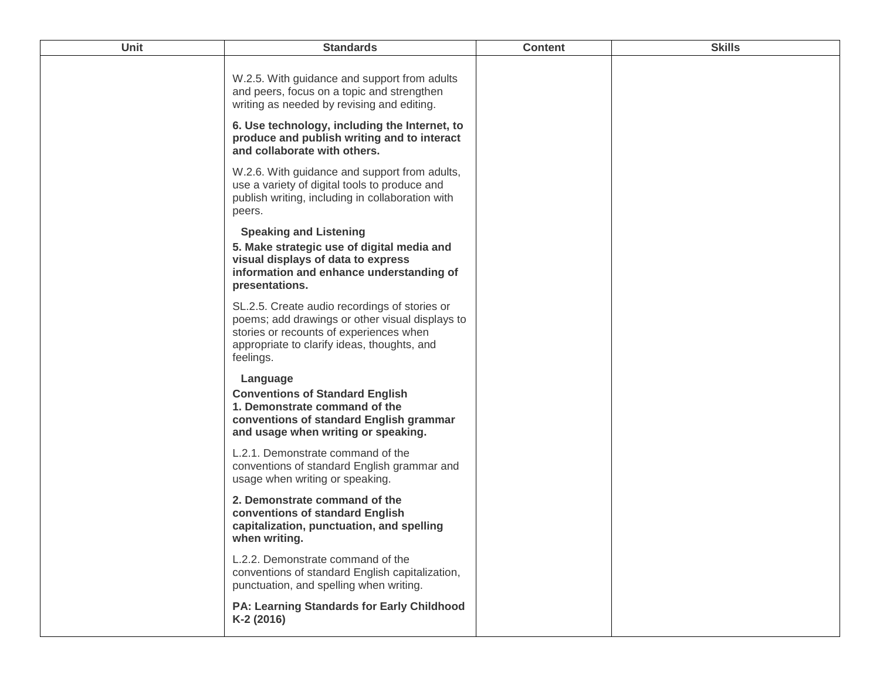| Unit | <b>Standards</b>                                                                                                                                                                                        | <b>Content</b> | <b>Skills</b> |
|------|---------------------------------------------------------------------------------------------------------------------------------------------------------------------------------------------------------|----------------|---------------|
|      | W.2.5. With guidance and support from adults<br>and peers, focus on a topic and strengthen<br>writing as needed by revising and editing.                                                                |                |               |
|      | 6. Use technology, including the Internet, to<br>produce and publish writing and to interact<br>and collaborate with others.                                                                            |                |               |
|      | W.2.6. With guidance and support from adults,<br>use a variety of digital tools to produce and<br>publish writing, including in collaboration with<br>peers.                                            |                |               |
|      | <b>Speaking and Listening</b><br>5. Make strategic use of digital media and<br>visual displays of data to express<br>information and enhance understanding of<br>presentations.                         |                |               |
|      | SL.2.5. Create audio recordings of stories or<br>poems; add drawings or other visual displays to<br>stories or recounts of experiences when<br>appropriate to clarify ideas, thoughts, and<br>feelings. |                |               |
|      | Language<br><b>Conventions of Standard English</b><br>1. Demonstrate command of the<br>conventions of standard English grammar<br>and usage when writing or speaking.                                   |                |               |
|      | L.2.1. Demonstrate command of the<br>conventions of standard English grammar and<br>usage when writing or speaking.                                                                                     |                |               |
|      | 2. Demonstrate command of the<br>conventions of standard English<br>capitalization, punctuation, and spelling<br>when writing.                                                                          |                |               |
|      | L.2.2. Demonstrate command of the<br>conventions of standard English capitalization,<br>punctuation, and spelling when writing.                                                                         |                |               |
|      | <b>PA: Learning Standards for Early Childhood</b><br>K-2 (2016)                                                                                                                                         |                |               |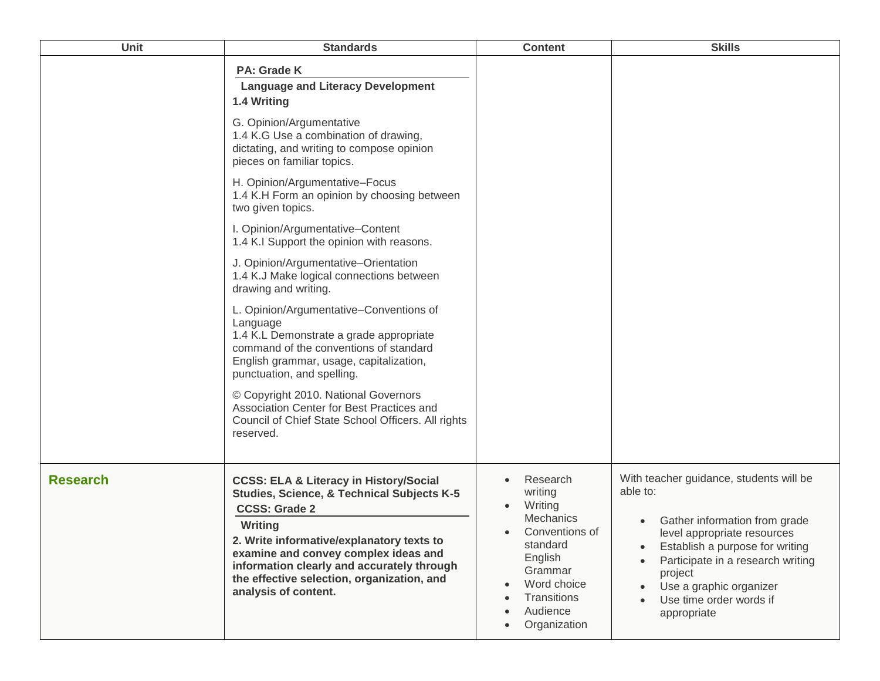| Unit            | <b>Standards</b>                                                                                                                                                                                                                                                                                                                                       | <b>Content</b>                                                                                                                                            | <b>Skills</b>                                                                                                                                                                                                                                                                                                                   |
|-----------------|--------------------------------------------------------------------------------------------------------------------------------------------------------------------------------------------------------------------------------------------------------------------------------------------------------------------------------------------------------|-----------------------------------------------------------------------------------------------------------------------------------------------------------|---------------------------------------------------------------------------------------------------------------------------------------------------------------------------------------------------------------------------------------------------------------------------------------------------------------------------------|
|                 | <b>PA: Grade K</b><br><b>Language and Literacy Development</b><br>1.4 Writing                                                                                                                                                                                                                                                                          |                                                                                                                                                           |                                                                                                                                                                                                                                                                                                                                 |
|                 | G. Opinion/Argumentative<br>1.4 K.G Use a combination of drawing,<br>dictating, and writing to compose opinion<br>pieces on familiar topics.                                                                                                                                                                                                           |                                                                                                                                                           |                                                                                                                                                                                                                                                                                                                                 |
|                 | H. Opinion/Argumentative-Focus<br>1.4 K.H Form an opinion by choosing between<br>two given topics.                                                                                                                                                                                                                                                     |                                                                                                                                                           |                                                                                                                                                                                                                                                                                                                                 |
|                 | I. Opinion/Argumentative-Content<br>1.4 K.I Support the opinion with reasons.                                                                                                                                                                                                                                                                          |                                                                                                                                                           |                                                                                                                                                                                                                                                                                                                                 |
|                 | J. Opinion/Argumentative-Orientation<br>1.4 K.J Make logical connections between<br>drawing and writing.                                                                                                                                                                                                                                               |                                                                                                                                                           |                                                                                                                                                                                                                                                                                                                                 |
|                 | L. Opinion/Argumentative-Conventions of<br>Language<br>1.4 K.L Demonstrate a grade appropriate<br>command of the conventions of standard<br>English grammar, usage, capitalization,<br>punctuation, and spelling.                                                                                                                                      |                                                                                                                                                           |                                                                                                                                                                                                                                                                                                                                 |
|                 | © Copyright 2010. National Governors<br>Association Center for Best Practices and<br>Council of Chief State School Officers. All rights<br>reserved.                                                                                                                                                                                                   |                                                                                                                                                           |                                                                                                                                                                                                                                                                                                                                 |
| <b>Research</b> | <b>CCSS: ELA &amp; Literacy in History/Social</b><br><b>Studies, Science, &amp; Technical Subjects K-5</b><br><b>CCSS: Grade 2</b><br>Writing<br>2. Write informative/explanatory texts to<br>examine and convey complex ideas and<br>information clearly and accurately through<br>the effective selection, organization, and<br>analysis of content. | Research<br>writing<br>Writing<br>Mechanics<br>Conventions of<br>standard<br>English<br>Grammar<br>Word choice<br>Transitions<br>Audience<br>Organization | With teacher guidance, students will be<br>able to:<br>Gather information from grade<br>level appropriate resources<br>Establish a purpose for writing<br>$\bullet$<br>Participate in a research writing<br>$\bullet$<br>project<br>Use a graphic organizer<br>$\bullet$<br>Use time order words if<br>$\bullet$<br>appropriate |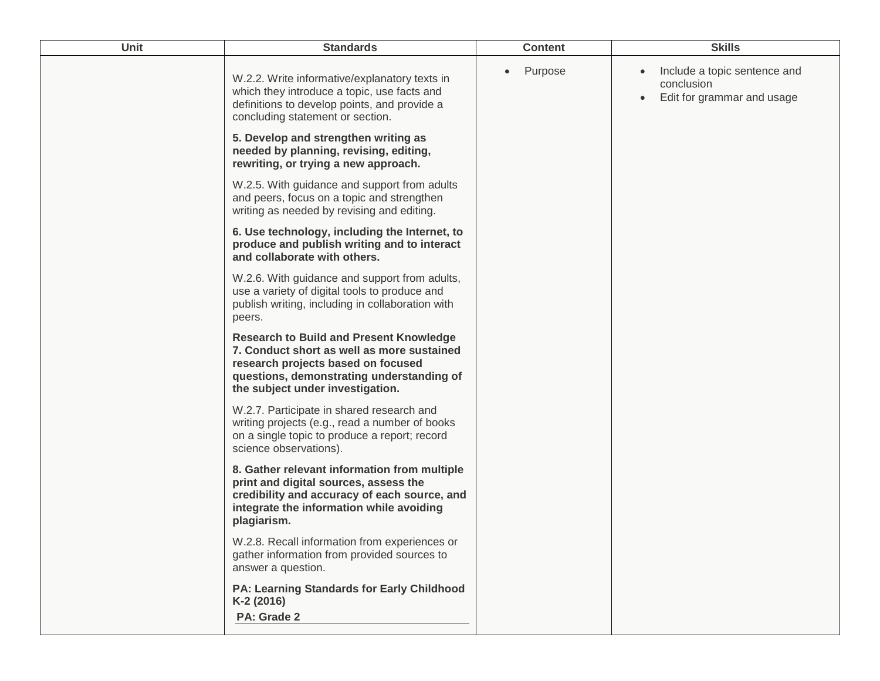| Unit | <b>Standards</b>                                                                                                                                                                                                    | <b>Content</b> | <b>Skills</b>                                                                         |
|------|---------------------------------------------------------------------------------------------------------------------------------------------------------------------------------------------------------------------|----------------|---------------------------------------------------------------------------------------|
|      | W.2.2. Write informative/explanatory texts in<br>which they introduce a topic, use facts and<br>definitions to develop points, and provide a<br>concluding statement or section.                                    | Purpose        | Include a topic sentence and<br>conclusion<br>Edit for grammar and usage<br>$\bullet$ |
|      | 5. Develop and strengthen writing as<br>needed by planning, revising, editing,<br>rewriting, or trying a new approach.                                                                                              |                |                                                                                       |
|      | W.2.5. With guidance and support from adults<br>and peers, focus on a topic and strengthen<br>writing as needed by revising and editing.                                                                            |                |                                                                                       |
|      | 6. Use technology, including the Internet, to<br>produce and publish writing and to interact<br>and collaborate with others.                                                                                        |                |                                                                                       |
|      | W.2.6. With guidance and support from adults,<br>use a variety of digital tools to produce and<br>publish writing, including in collaboration with<br>peers.                                                        |                |                                                                                       |
|      | <b>Research to Build and Present Knowledge</b><br>7. Conduct short as well as more sustained<br>research projects based on focused<br>questions, demonstrating understanding of<br>the subject under investigation. |                |                                                                                       |
|      | W.2.7. Participate in shared research and<br>writing projects (e.g., read a number of books<br>on a single topic to produce a report; record<br>science observations).                                              |                |                                                                                       |
|      | 8. Gather relevant information from multiple<br>print and digital sources, assess the<br>credibility and accuracy of each source, and<br>integrate the information while avoiding<br>plagiarism.                    |                |                                                                                       |
|      | W.2.8. Recall information from experiences or<br>gather information from provided sources to<br>answer a question.                                                                                                  |                |                                                                                       |
|      | <b>PA: Learning Standards for Early Childhood</b><br>K-2 (2016)<br>PA: Grade 2                                                                                                                                      |                |                                                                                       |
|      |                                                                                                                                                                                                                     |                |                                                                                       |